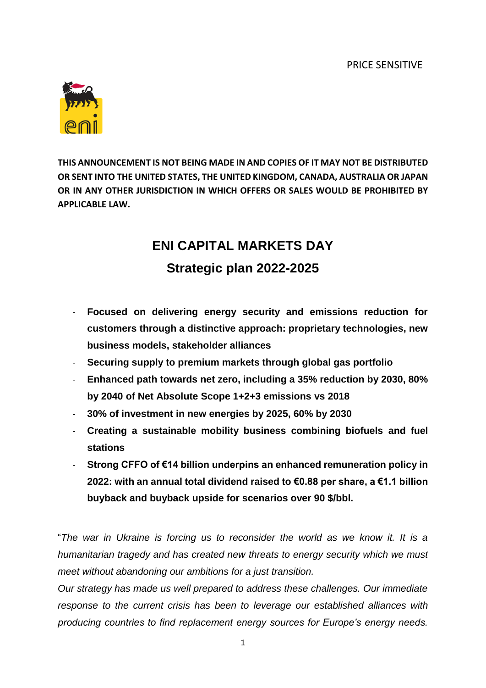

**THIS ANNOUNCEMENT IS NOT BEING MADE IN AND COPIES OF IT MAY NOT BE DISTRIBUTED OR SENT INTO THE UNITED STATES, THE UNITED KINGDOM, CANADA, AUSTRALIA OR JAPAN OR IN ANY OTHER JURISDICTION IN WHICH OFFERS OR SALES WOULD BE PROHIBITED BY APPLICABLE LAW.**

# **ENI CAPITAL MARKETS DAY Strategic plan 2022-2025**

- **Focused on delivering energy security and emissions reduction for customers through a distinctive approach: proprietary technologies, new business models, stakeholder alliances**
- **Securing supply to premium markets through global gas portfolio**
- **Enhanced path towards net zero, including a 35% reduction by 2030, 80% by 2040 of Net Absolute Scope 1+2+3 emissions vs 2018**
- **30% of investment in new energies by 2025, 60% by 2030**
- **Creating a sustainable mobility business combining biofuels and fuel stations**
- **Strong CFFO of €14 billion underpins an enhanced remuneration policy in 2022: with an annual total dividend raised to €0.88 per share, a €1.1 billion buyback and buyback upside for scenarios over 90 \$/bbl.**

"*The war in Ukraine is forcing us to reconsider the world as we know it. It is a humanitarian tragedy and has created new threats to energy security which we must meet without abandoning our ambitions for a just transition.*

*Our strategy has made us well prepared to address these challenges. Our immediate response to the current crisis has been to leverage our established alliances with producing countries to find replacement energy sources for Europe's energy needs.*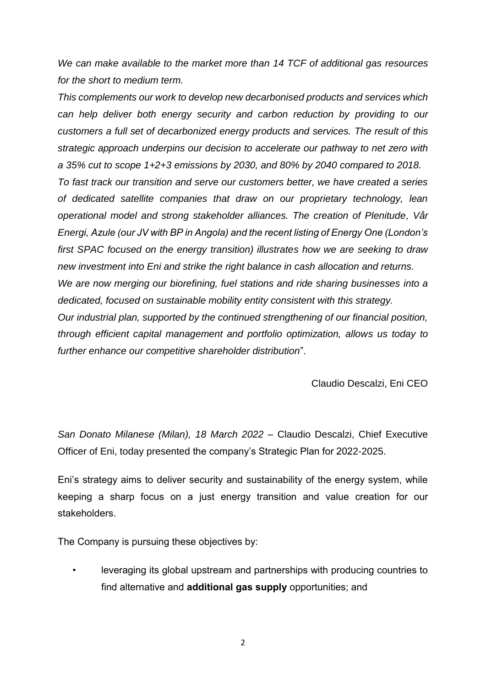*We can make available to the market more than 14 TCF of additional gas resources for the short to medium term.* 

*This complements our work to develop new decarbonised products and services which can help deliver both energy security and carbon reduction by providing to our customers a full set of decarbonized energy products and services. The result of this strategic approach underpins our decision to accelerate our pathway to net zero with a 35% cut to scope 1+2+3 emissions by 2030, and 80% by 2040 compared to 2018. To fast track our transition and serve our customers better, we have created a series of dedicated satellite companies that draw on our proprietary technology, lean operational model and strong stakeholder alliances. The creation of Plenitude, Vår Energi, Azule (our JV with BP in Angola) and the recent listing of Energy One (London's first SPAC focused on the energy transition) illustrates how we are seeking to draw new investment into Eni and strike the right balance in cash allocation and returns. We are now merging our biorefining, fuel stations and ride sharing businesses into a dedicated, focused on sustainable mobility entity consistent with this strategy. Our industrial plan, supported by the continued strengthening of our financial position, through efficient capital management and portfolio optimization, allows us today to further enhance our competitive shareholder distribution*".

Claudio Descalzi, Eni CEO

*San Donato Milanese (Milan), 18 March 2022 –* Claudio Descalzi, Chief Executive Officer of Eni, today presented the company's Strategic Plan for 2022-2025.

Eni's strategy aims to deliver security and sustainability of the energy system, while keeping a sharp focus on a just energy transition and value creation for our stakeholders.

The Company is pursuing these objectives by:

• leveraging its global upstream and partnerships with producing countries to find alternative and **additional gas supply** opportunities; and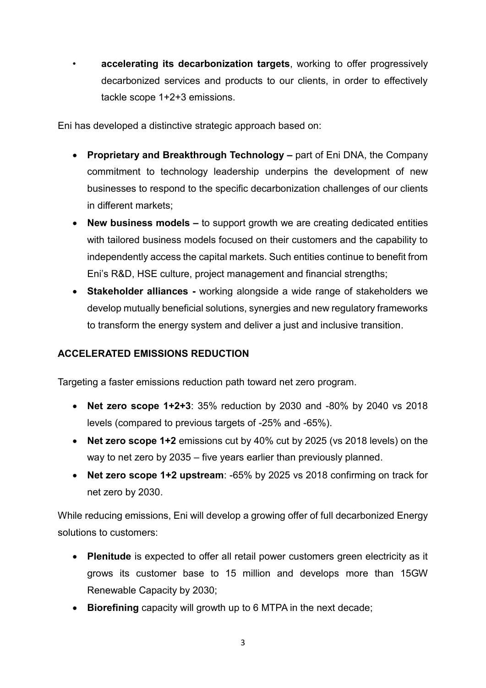• **accelerating its decarbonization targets**, working to offer progressively decarbonized services and products to our clients, in order to effectively tackle scope 1+2+3 emissions.

Eni has developed a distinctive strategic approach based on:

- **Proprietary and Breakthrough Technology –** part of Eni DNA, the Company commitment to technology leadership underpins the development of new businesses to respond to the specific decarbonization challenges of our clients in different markets;
- **New business models –** to support growth we are creating dedicated entities with tailored business models focused on their customers and the capability to independently access the capital markets. Such entities continue to benefit from Eni's R&D, HSE culture, project management and financial strengths;
- **Stakeholder alliances -** working alongside a wide range of stakeholders we develop mutually beneficial solutions, synergies and new regulatory frameworks to transform the energy system and deliver a just and inclusive transition.

### **ACCELERATED EMISSIONS REDUCTION**

Targeting a faster emissions reduction path toward net zero program.

- **Net zero scope 1+2+3**: 35% reduction by 2030 and -80% by 2040 vs 2018 levels (compared to previous targets of -25% and -65%).
- **Net zero scope 1+2** emissions cut by 40% cut by 2025 (vs 2018 levels) on the way to net zero by 2035 – five years earlier than previously planned.
- **Net zero scope 1+2 upstream**: -65% by 2025 vs 2018 confirming on track for net zero by 2030.

While reducing emissions, Eni will develop a growing offer of full decarbonized Energy solutions to customers:

- **Plenitude** is expected to offer all retail power customers green electricity as it grows its customer base to 15 million and develops more than 15GW Renewable Capacity by 2030;
- **Biorefining** capacity will growth up to 6 MTPA in the next decade;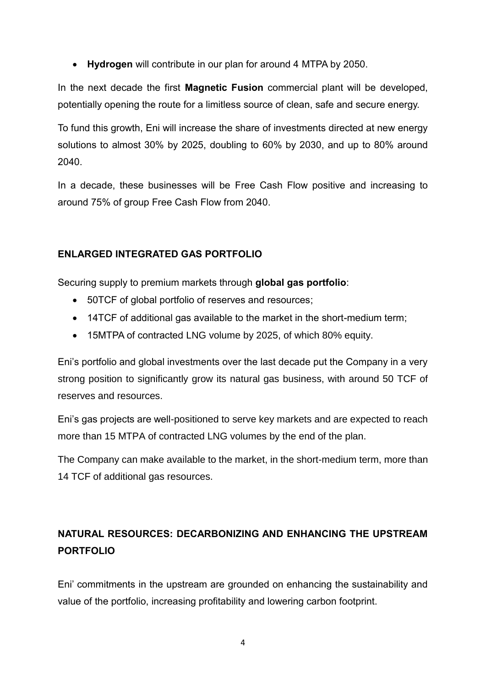**Hydrogen** will contribute in our plan for around 4 MTPA by 2050.

In the next decade the first **Magnetic Fusion** commercial plant will be developed, potentially opening the route for a limitless source of clean, safe and secure energy.

To fund this growth, Eni will increase the share of investments directed at new energy solutions to almost 30% by 2025, doubling to 60% by 2030, and up to 80% around 2040.

In a decade, these businesses will be Free Cash Flow positive and increasing to around 75% of group Free Cash Flow from 2040.

#### **ENLARGED INTEGRATED GAS PORTFOLIO**

Securing supply to premium markets through **global gas portfolio**:

- 50TCF of global portfolio of reserves and resources;
- 14TCF of additional gas available to the market in the short-medium term;
- 15MTPA of contracted LNG volume by 2025, of which 80% equity.

Eni's portfolio and global investments over the last decade put the Company in a very strong position to significantly grow its natural gas business, with around 50 TCF of reserves and resources.

Eni's gas projects are well-positioned to serve key markets and are expected to reach more than 15 MTPA of contracted LNG volumes by the end of the plan.

The Company can make available to the market, in the short-medium term, more than 14 TCF of additional gas resources.

## **NATURAL RESOURCES: DECARBONIZING AND ENHANCING THE UPSTREAM PORTFOLIO**

Eni' commitments in the upstream are grounded on enhancing the sustainability and value of the portfolio, increasing profitability and lowering carbon footprint.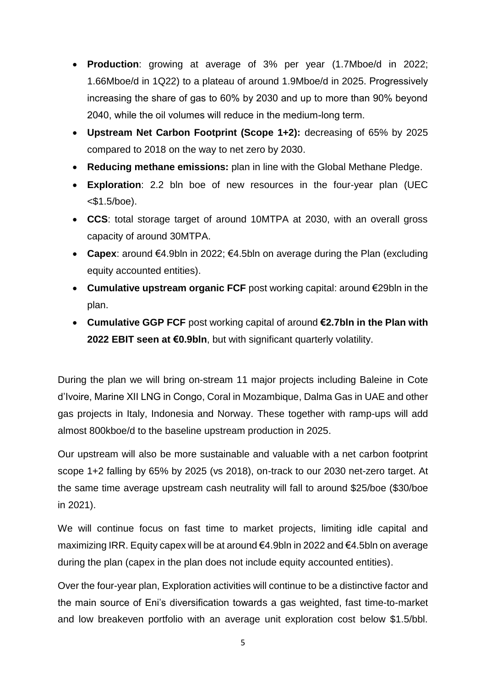- **Production**: growing at average of 3% per year (1.7Mboe/d in 2022; 1.66Mboe/d in 1Q22) to a plateau of around 1.9Mboe/d in 2025. Progressively increasing the share of gas to 60% by 2030 and up to more than 90% beyond 2040, while the oil volumes will reduce in the medium-long term.
- **Upstream Net Carbon Footprint (Scope 1+2):** decreasing of 65% by 2025 compared to 2018 on the way to net zero by 2030.
- **Reducing methane emissions:** plan in line with the Global Methane Pledge.
- **Exploration**: 2.2 bln boe of new resources in the four-year plan (UEC  $<$ \$1.5/boe).
- **CCS**: total storage target of around 10MTPA at 2030, with an overall gross capacity of around 30MTPA.
- **Capex**: around €4.9bln in 2022; €4.5bln on average during the Plan (excluding equity accounted entities).
- **Cumulative upstream organic FCF** post working capital: around €29bln in the plan.
- **Cumulative GGP FCF** post working capital of around **€2.7bln in the Plan with 2022 EBIT seen at €0.9bln**, but with significant quarterly volatility.

During the plan we will bring on-stream 11 major projects including Baleine in Cote d'Ivoire, Marine XII LNG in Congo, Coral in Mozambique, Dalma Gas in UAE and other gas projects in Italy, Indonesia and Norway. These together with ramp-ups will add almost 800kboe/d to the baseline upstream production in 2025.

Our upstream will also be more sustainable and valuable with a net carbon footprint scope 1+2 falling by 65% by 2025 (vs 2018), on-track to our 2030 net-zero target. At the same time average upstream cash neutrality will fall to around \$25/boe (\$30/boe in 2021).

We will continue focus on fast time to market projects, limiting idle capital and maximizing IRR. Equity capex will be at around €4.9bln in 2022 and €4.5bln on average during the plan (capex in the plan does not include equity accounted entities).

Over the four-year plan, Exploration activities will continue to be a distinctive factor and the main source of Eni's diversification towards a gas weighted, fast time-to-market and low breakeven portfolio with an average unit exploration cost below \$1.5/bbl.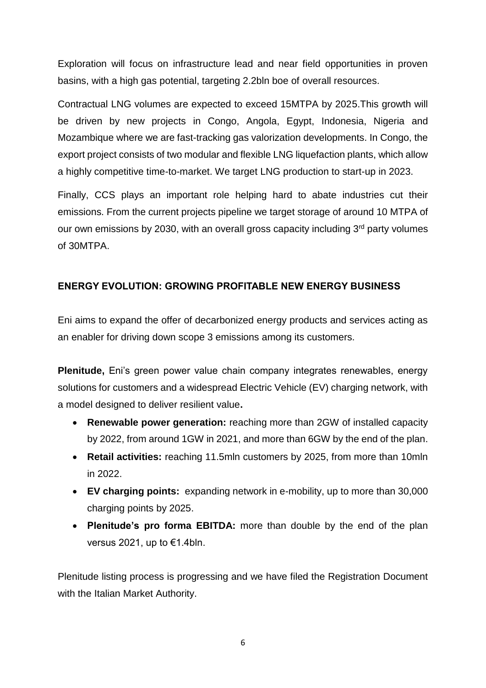Exploration will focus on infrastructure lead and near field opportunities in proven basins, with a high gas potential, targeting 2.2bln boe of overall resources.

Contractual LNG volumes are expected to exceed 15MTPA by 2025.This growth will be driven by new projects in Congo, Angola, Egypt, Indonesia, Nigeria and Mozambique where we are fast-tracking gas valorization developments. In Congo, the export project consists of two modular and flexible LNG liquefaction plants, which allow a highly competitive time-to-market. We target LNG production to start-up in 2023.

Finally, CCS plays an important role helping hard to abate industries cut their emissions. From the current projects pipeline we target storage of around 10 MTPA of our own emissions by 2030, with an overall gross capacity including 3<sup>rd</sup> party volumes of 30MTPA.

#### **ENERGY EVOLUTION: GROWING PROFITABLE NEW ENERGY BUSINESS**

Eni aims to expand the offer of decarbonized energy products and services acting as an enabler for driving down scope 3 emissions among its customers.

**Plenitude,** Eni's green power value chain company integrates renewables, energy solutions for customers and a widespread Electric Vehicle (EV) charging network, with a model designed to deliver resilient value**.** 

- **Renewable power generation:** reaching more than 2GW of installed capacity by 2022, from around 1GW in 2021, and more than 6GW by the end of the plan.
- **Retail activities:** reaching 11.5mln customers by 2025, from more than 10mln in 2022.
- **EV charging points:** expanding network in e-mobility, up to more than 30,000 charging points by 2025.
- **Plenitude's pro forma EBITDA:** more than double by the end of the plan versus 2021, up to €1.4bln.

Plenitude listing process is progressing and we have filed the Registration Document with the Italian Market Authority.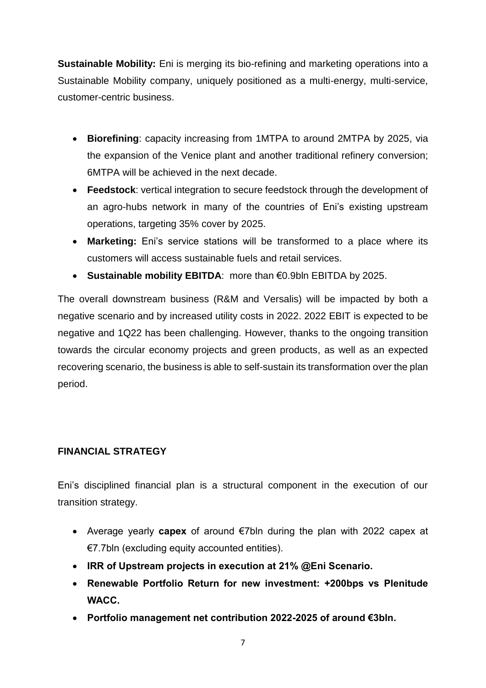**Sustainable Mobility:** Eni is merging its bio-refining and marketing operations into a Sustainable Mobility company, uniquely positioned as a multi-energy, multi-service, customer-centric business.

- **Biorefining**: capacity increasing from 1MTPA to around 2MTPA by 2025, via the expansion of the Venice plant and another traditional refinery conversion; 6MTPA will be achieved in the next decade.
- **Feedstock**: vertical integration to secure feedstock through the development of an agro-hubs network in many of the countries of Eni's existing upstream operations, targeting 35% cover by 2025.
- **Marketing:** Eni's service stations will be transformed to a place where its customers will access sustainable fuels and retail services.
- **Sustainable mobility EBITDA**: more than €0.9bln EBITDA by 2025.

The overall downstream business (R&M and Versalis) will be impacted by both a negative scenario and by increased utility costs in 2022. 2022 EBIT is expected to be negative and 1Q22 has been challenging. However, thanks to the ongoing transition towards the circular economy projects and green products, as well as an expected recovering scenario, the business is able to self-sustain its transformation over the plan period.

### **FINANCIAL STRATEGY**

Eni's disciplined financial plan is a structural component in the execution of our transition strategy.

- Average yearly **capex** of around €7bln during the plan with 2022 capex at €7.7bln (excluding equity accounted entities).
- **IRR of Upstream projects in execution at 21% @Eni Scenario.**
- **Renewable Portfolio Return for new investment: +200bps vs Plenitude WACC.**
- **Portfolio management net contribution 2022-2025 of around €3bln.**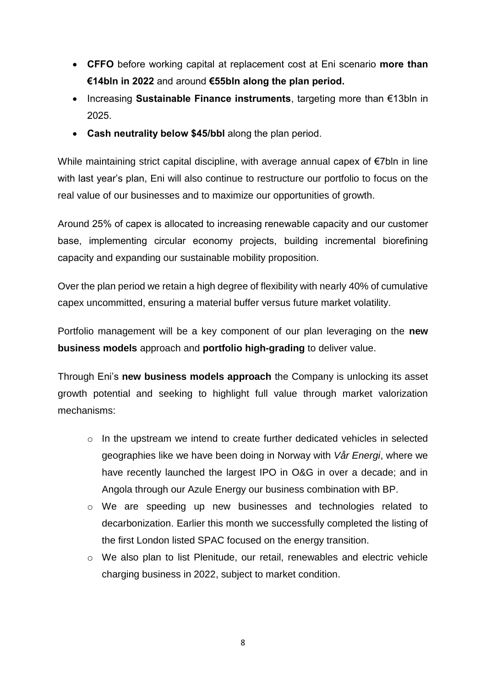- **CFFO** before working capital at replacement cost at Eni scenario **more than €14bln in 2022** and around **€55bln along the plan period.**
- Increasing **Sustainable Finance instruments**, targeting more than €13bln in 2025.
- **Cash neutrality below \$45/bbl** along the plan period.

While maintaining strict capital discipline, with average annual capex of €7bln in line with last year's plan, Eni will also continue to restructure our portfolio to focus on the real value of our businesses and to maximize our opportunities of growth.

Around 25% of capex is allocated to increasing renewable capacity and our customer base, implementing circular economy projects, building incremental biorefining capacity and expanding our sustainable mobility proposition.

Over the plan period we retain a high degree of flexibility with nearly 40% of cumulative capex uncommitted, ensuring a material buffer versus future market volatility.

Portfolio management will be a key component of our plan leveraging on the **new business models** approach and **portfolio high-grading** to deliver value.

Through Eni's **new business models approach** the Company is unlocking its asset growth potential and seeking to highlight full value through market valorization mechanisms:

- o In the upstream we intend to create further dedicated vehicles in selected geographies like we have been doing in Norway with *Vår Energi*, where we have recently launched the largest IPO in O&G in over a decade; and in Angola through our Azule Energy our business combination with BP.
- o We are speeding up new businesses and technologies related to decarbonization. Earlier this month we successfully completed the listing of the first London listed SPAC focused on the energy transition.
- o We also plan to list Plenitude, our retail, renewables and electric vehicle charging business in 2022, subject to market condition.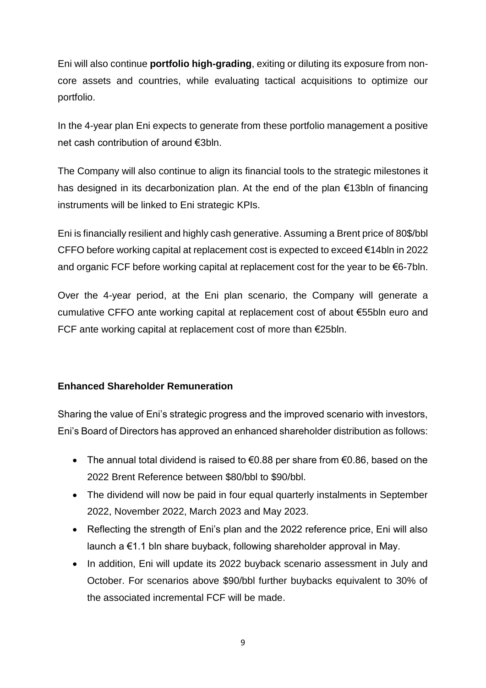Eni will also continue **portfolio high-grading**, exiting or diluting its exposure from noncore assets and countries, while evaluating tactical acquisitions to optimize our portfolio.

In the 4-year plan Eni expects to generate from these portfolio management a positive net cash contribution of around €3bln.

The Company will also continue to align its financial tools to the strategic milestones it has designed in its decarbonization plan. At the end of the plan €13bln of financing instruments will be linked to Eni strategic KPIs.

Eni is financially resilient and highly cash generative. Assuming a Brent price of 80\$/bbl CFFO before working capital at replacement cost is expected to exceed €14bln in 2022 and organic FCF before working capital at replacement cost for the year to be €6-7bln.

Over the 4-year period, at the Eni plan scenario, the Company will generate a cumulative CFFO ante working capital at replacement cost of about €55bln euro and FCF ante working capital at replacement cost of more than €25bln.

#### **Enhanced Shareholder Remuneration**

Sharing the value of Eni's strategic progress and the improved scenario with investors, Eni's Board of Directors has approved an enhanced shareholder distribution as follows:

- The annual total dividend is raised to  $\epsilon$ 0.88 per share from  $\epsilon$ 0.86, based on the 2022 Brent Reference between \$80/bbl to \$90/bbl.
- The dividend will now be paid in four equal quarterly instalments in September 2022, November 2022, March 2023 and May 2023.
- Reflecting the strength of Eni's plan and the 2022 reference price, Eni will also launch a €1.1 bln share buyback, following shareholder approval in May.
- In addition, Eni will update its 2022 buyback scenario assessment in July and October. For scenarios above \$90/bbl further buybacks equivalent to 30% of the associated incremental FCF will be made.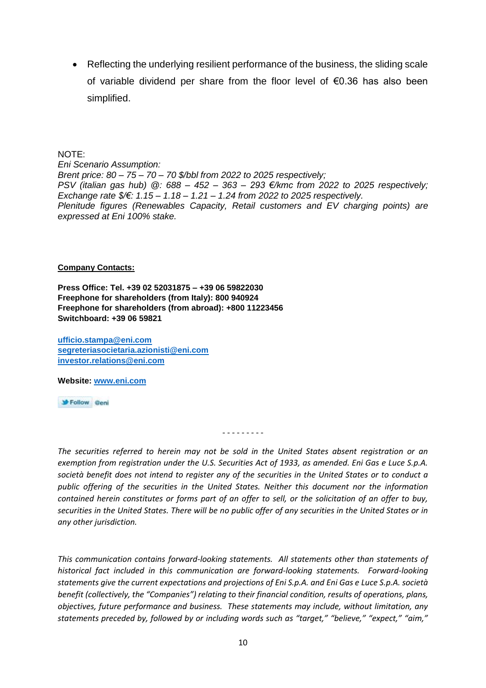Reflecting the underlying resilient performance of the business, the sliding scale of variable dividend per share from the floor level of €0.36 has also been simplified.

NOTE:

*Eni Scenario Assumption: Brent price: 80 – 75 – 70 – 70 \$/bbl from 2022 to 2025 respectively; PSV (italian gas hub) @: 688 – 452 – 363 – 293 €/kmc from 2022 to 2025 respectively; Exchange rate \$/€: 1.15 – 1.18 – 1.21 – 1.24 from 2022 to 2025 respectively. Plenitude figures (Renewables Capacity, Retail customers and EV charging points) are expressed at Eni 100% stake.*

#### **Company Contacts:**

**Press Office: Tel. +39 02 52031875 – +39 06 59822030 Freephone for shareholders (from Italy): 800 940924 Freephone for shareholders (from abroad): +800 11223456 Switchboard: +39 06 59821**

**[ufficio.stampa@eni.com](mailto:ufficio.stampa@eni.com) [segreteriasocietaria.azionisti@eni.com](mailto:segreteriasocietaria.azionisti@eni.com) [investor.relations@eni.com](mailto:investor.relations@eni.com)**

**Website: [www.eni.com](http://www.eni.com/)**

Follow @eni

- - - - - - - - -

*The securities referred to herein may not be sold in the United States absent registration or an exemption from registration under the U.S. Securities Act of 1933, as amended. Eni Gas e Luce S.p.A. società benefit does not intend to register any of the securities in the United States or to conduct a public offering of the securities in the United States. Neither this document nor the information contained herein constitutes or forms part of an offer to sell, or the solicitation of an offer to buy, securities in the United States. There will be no public offer of any securities in the United States or in any other jurisdiction.*

*This communication contains forward-looking statements. All statements other than statements of historical fact included in this communication are forward-looking statements. Forward-looking statements give the current expectations and projections of Eni S.p.A. and Eni Gas e Luce S.p.A. società benefit (collectively, the "Companies") relating to their financial condition, results of operations, plans, objectives, future performance and business. These statements may include, without limitation, any statements preceded by, followed by or including words such as "target," "believe," "expect," "aim,"*